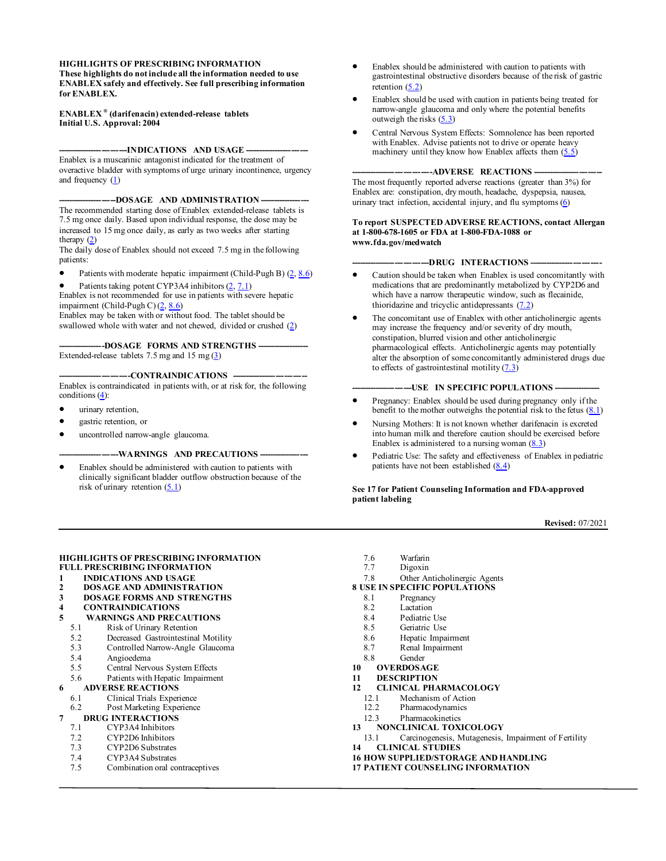#### <span id="page-0-0"></span>**HIGHLIGHTS OF PRESCRIBING INFORMATION These highlights do not include all the information needed to use ENABLEX safely and effectively. See full prescribing information for ENABLEX.**

#### **ENABLEX ® (darifenacin) extended-release tablets Initial U.S. Approval: 2004**

**-------------------------INDICATIONS AND USAGE -----------------------** Enablex is a muscarinic antagonist indicated for the treatment of overactive bladder with symptoms of urge urinary incontinence, urgency and frequency  $(1)$ 

---DOSAGE AND ADMINISTRATION ----

The recommended starting dose of Enablex extended-release tablets is 7.5 mg once daily. Based upon individual response, the dose may be increased to 15 mg once daily, as early as two weeks after starting therapy  $(2)$ 

The daily dose of Enablex should not exceed 7.5 mg in the following patients:

- Patients with moderate hepatic impairment (Child-Pugh B) [\(2,](#page-1-1) [8.6\)](#page-7-0)
- Patients taking potent CYP3A4 inhibitors [\(2,](#page-1-1) [7.1\)](#page-5-0)

Enablex is not recommended for use in patients with severe hepatic impairment (Child-Pugh C) [\(2,](#page-1-1) [8.6\)](#page-7-0)

Enablex may be taken with or without food. The tablet should be swallowed whole with water and not chewed, divided or crushed [\(2\)](#page-1-1)

-DOSAGE FORMS AND STRENGTHS ---Extended-release tablets 7.5 mg and 15 mg  $(3)$ 

------CONTRAINDICATIONS ---

Enablex is contraindicated in patients with, or at risk for, the following conditions [\(4\)](#page-1-3):

- urinary retention,
- gastric retention, or
- uncontrolled narrow-angle glaucoma.

#### --WARNINGS AND PRECAUTIONS --

Enablex should be administered with caution to patients with clinically significant bladder outflow obstruction because of the risk of urinary retention  $(5.1)$ 

- Enablex should be administered with caution to patients with gastrointestinal obstructive disorders because of the risk of gastric retention  $(5.2)$
- Enablex should be used with caution in patients being treated for narrow-angle glaucoma and only where the potential benefits outweigh the risks  $(5.3)$
- Central Nervous System Effects: Somnolence has been reported with Enablex. Advise patients not to drive or operate heavy machinery until they know how Enablex affects them  $(5.5)$

#### --ADVERSE REACTIONS -

The most frequently reported adverse reactions (greater than 3%) for Enablex are: constipation, dry mouth, headache, dyspepsia, nausea, urinary tract infection, accidental injury, and flu symptoms [\(6\)](#page-2-1)

#### **To report SUSPECTED ADVERSE REACTIONS, contact Allergan at 1-800-678-1605 or FDA at 1-800-FDA-1088 or www.fda.gov/medwatch**

#### --DRUG INTERACTIONS ---

- Caution should be taken when Enablex is used concomitantly with medications that are predominantly metabolized by CYP2D6 and which have a narrow therapeutic window, such as flecainide, thioridazine and tricyclic antidepressants  $(7.2)$
- The concomitant use of Enablex with other anticholinergic agents may increase the frequency and/or severity of dry mouth, constipation, blurred vision and other anticholinergic pharmacological effects. Anticholinergic agents may potentially alter the absorption of some concomitantly administered drugs due to effects of gastrointestinal motility  $(7.3)$

#### --USE IN SPECIFIC POPULATIONS -

- Pregnancy: Enablex should be used during pregnancy only if the benefit to the mother outweighs the potential risk to the fetus  $(8.1)$
- Nursing Mothers: It is not known whether darifenacin is excreted into human milk and therefore caution should be exercised before Enablex is administered to a nursing woman  $(8.3)$
- Pediatric Use: The safety and effectiveness of Enablex in pediatric patients have not been established  $(8.4)$

#### **See 17 for Patient Counseling Information and FDA-approved patient labeling**

**Revised:** 07/2021

#### **[HIGHLIGHTS OF PRESCRIBING INFORMATION](#page-0-0) [FULL PRESCRIBING INFORMATION](#page-1-7)**

- **1** INDICATIONS AND USAGE<br>**2** DOSAGE AND ADMINISTRA
- **[2 DOSAGE AND ADMINISTRATION](#page-1-1)**
- **[3 DOSAGE FORMS AND STRENGTHS](#page-1-2)**
- **[4 CONTRAINDICATIONS](#page-1-3)**
- **5 [WARNINGS AND PRECAUTIONS](#page-1-8)**
- [5.1 Risk of Urinary Retention](#page-1-4)
- [5.2 Decreased Gastrointestinal Motility](#page-1-5)
- [5.3 Controlled Narrow-Angle Glaucoma](#page-1-6)
- [5.4 Angioedema](#page-2-2)<br>5.5 Central Nerve
- [5.5 Central Nervous System Effects](#page-2-0)
- [5.6 Patients with Hepatic](#page-2-3) Impairment
- **[6 ADVERSE REACTIONS](#page-2-1)**
	- [6.1 Clinical Trials Experience](#page-2-4)
	- [6.2 Post Marketing Experience](#page-5-3)
- **DRUG INTERACTIONS**<br>7.1 CYP3A4 Inhibitors
- CYP3A4 Inhibitors
- [7.2 CYP2D6 Inhibitors](#page-5-1)
- [7.3 CYP2D6 Substrates](#page-5-2)
- [7.4 CYP3A4 Substrates](#page-5-5)
- [7.5 Combination oral contraceptives](#page-5-6)
- [7.6 Warfarin](#page-6-1)<br>7.7 Digoxin
- Digoxin
- [7.8 Other Anticholinergic Agents](#page-6-3)
- **[8 USE IN SPECIFIC POPULATIONS](#page-6-4)**
	- [8.1 Pregnancy](#page-6-0)<br>8.2 Lactation
	- [Lactation](#page-7-1)
	- [8.4 Pediatric Use](#page-7-2)<br>8.5 Geriatric Use
	- Geriatric Use
	- [8.6 Hepatic Impairment](#page-7-0)
	- [8.7 Renal Impairment](#page-8-0)
- [8.8 Gender](#page-8-1)
- **[10 OVERDOSAGE](#page-8-2)**
- **[11 DESCRIPTION](#page-8-3)**
- **[12 CLINICAL PHARMACOLOGY](#page-8-4)**<br>12.1 Mechanism of Action
	- [12.1 Mechanism of Action](#page-8-5)<br>12.2 Pharmacodynamics
	- [12.2 Pharmacodynamics](#page-9-0)
- [12.3 Pharmacokinetics](#page-9-1)
- **[13 NONCLINICAL TOXICOLOGY](#page-13-0)**
- [13.1 Carcinogenesis, Mutagenesis, Impairment of Fertility](#page-13-1) **[14 CLINICAL STUDIES](#page-13-2)**
- **[16 HOW SUPPLIED/STORAGE AND HANDLING](#page-18-0)**
- **[17 PATIENT COUNSELING INFORMATION](#page-18-1)**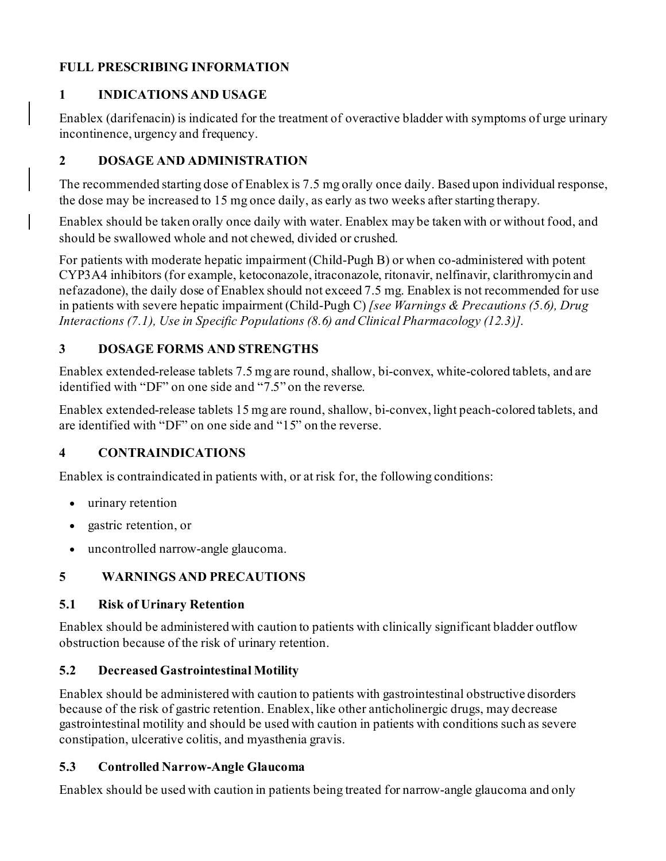# <span id="page-1-7"></span>**FULL PRESCRIBING INFORMATION**

# <span id="page-1-0"></span>**1 INDICATIONS AND USAGE**

Enablex (darifenacin) is indicated for the treatment of overactive bladder with symptoms of urge urinary incontinence, urgency and frequency.

# <span id="page-1-1"></span>**2 DOSAGE AND ADMINISTRATION**

The recommended starting dose of Enablex is 7.5 mg orally once daily. Based upon individual response, the dose may be increased to 15 mg once daily, as early as two weeks after starting therapy.

Enablex should be taken orally once daily with water. Enablex may be taken with or without food, and should be swallowed whole and not chewed, divided or crushed.

For patients with moderate hepatic impairment (Child-Pugh B) or when co-administered with potent CYP3A4 inhibitors (for example, ketoconazole, itraconazole, ritonavir, nelfinavir, clarithromycin and nefazadone), the daily dose of Enablex should not exceed 7.5 mg. Enablex is not recommended for use in patients with severe hepatic impairment (Child-Pugh C) *[see Warnings & Precautions (5.6), Drug Interactions (7.1), Use in Specific Populations (8.6) and Clinical Pharmacology (12.3)]*.

# <span id="page-1-2"></span>**3 DOSAGE FORMS AND STRENGTHS**

Enablex extended-release tablets 7.5 mg are round, shallow, bi-convex, white-colored tablets, and are identified with "DF" on one side and "7.5" on the reverse.

Enablex extended-release tablets 15 mg are round, shallow, bi-convex, light peach-colored tablets, and are identified with "DF" on one side and "15" on the reverse.

# <span id="page-1-3"></span>**4 CONTRAINDICATIONS**

Enablex is contraindicated in patients with, or at risk for, the following conditions:

- urinary retention
- gastric retention, or
- uncontrolled narrow-angle glaucoma.

# <span id="page-1-8"></span><span id="page-1-4"></span>**5 WARNINGS AND PRECAUTIONS**

# **5.1 Risk of Urinary Retention**

Enablex should be administered with caution to patients with clinically significant bladder outflow obstruction because of the risk of urinary retention.

# <span id="page-1-5"></span>**5.2 Decreased Gastrointestinal Motility**

Enablex should be administered with caution to patients with gastrointestinal obstructive disorders because of the risk of gastric retention. Enablex, like other anticholinergic drugs, may decrease gastrointestinal motility and should be used with caution in patients with conditions such as severe constipation, ulcerative colitis, and myasthenia gravis.

# <span id="page-1-6"></span>**5.3 Controlled Narrow-Angle Glaucoma**

Enablex should be used with caution in patients being treated for narrow-angle glaucoma and only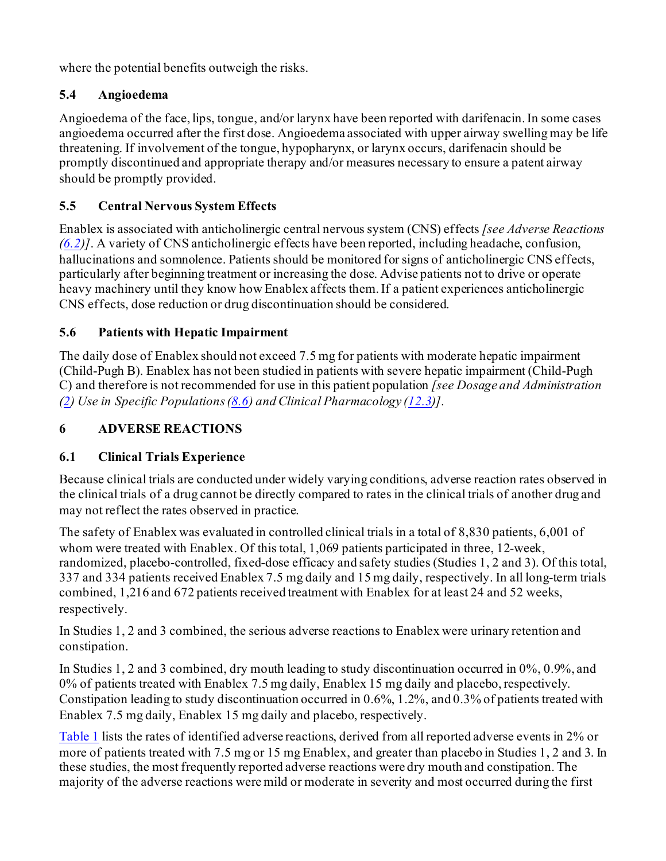where the potential benefits outweigh the risks.

# <span id="page-2-2"></span>**5.4 Angioedema**

Angioedema of the face, lips, tongue, and/or larynx have been reported with darifenacin. In some cases angioedema occurred after the first dose. Angioedema associated with upper airway swelling may be life threatening. If involvement of the tongue, hypopharynx, or larynx occurs, darifenacin should be promptly discontinued and appropriate therapy and/or measures necessary to ensure a patent airway should be promptly provided.

# <span id="page-2-0"></span>**5.5 Central Nervous System Effects**

Enablex is associated with anticholinergic central nervous system (CNS) effects *[see Adverse Reactions [\(6.2\)](#page-5-3)]*. A variety of CNS anticholinergic effects have been reported, including headache, confusion, hallucinations and somnolence. Patients should be monitored for signs of anticholinergic CNS effects, particularly after beginning treatment or increasing the dose. Advise patients not to drive or operate heavy machinery until they know how Enablex affects them. If a patient experiences anticholinergic CNS effects, dose reduction or drug discontinuation should be considered.

# <span id="page-2-3"></span>**5.6 Patients with Hepatic Impairment**

The daily dose of Enablex should not exceed 7.5 mg for patients with moderate hepatic impairment (Child-Pugh B). Enablex has not been studied in patients with severe hepatic impairment (Child-Pugh C) and therefore is not recommended for use in this patient population *[see Dosage and Administration [\(2\)](#page-1-1) Use in Specific Populations [\(8.6](#page-7-0)) and Clinical Pharmacology [\(12.3\)](#page-9-1)]*.

# <span id="page-2-4"></span><span id="page-2-1"></span>**6 ADVERSE REACTIONS**

# **6.1 Clinical Trials Experience**

Because clinical trials are conducted under widely varying conditions, adverse reaction rates observed in the clinical trials of a drug cannot be directly compared to rates in the clinical trials of another drug and may not reflect the rates observed in practice.

The safety of Enablex was evaluated in controlled clinical trials in a total of 8,830 patients, 6,001 of whom were treated with Enablex. Of this total, 1,069 patients participated in three, 12-week, randomized, placebo-controlled, fixed-dose efficacy and safety studies (Studies 1, 2 and 3). Of this total, 337 and 334 patients received Enablex 7.5 mg daily and 15 mg daily, respectively. In all long-term trials combined, 1,216 and 672 patients received treatment with Enablex for at least 24 and 52 weeks, respectively.

In Studies 1, 2 and 3 combined, the serious adverse reactions to Enablex were urinary retention and constipation.

In Studies 1, 2 and 3 combined, dry mouth leading to study discontinuation occurred in 0%, 0.9%, and 0% of patients treated with Enablex 7.5 mg daily, Enablex 15 mg daily and placebo, respectively. Constipation leading to study discontinuation occurred in 0.6%, 1.2%, and 0.3% of patients treated with Enablex 7.5 mg daily, Enablex 15 mg daily and placebo, respectively.

[Table](#page-3-0) 1 lists the rates of identified adverse reactions, derived from all reported adverse events in 2% or more of patients treated with 7.5 mg or 15 mg Enablex, and greater than placebo in Studies 1, 2 and 3. In these studies, the most frequently reported adverse reactions were dry mouth and constipation. The majority of the adverse reactions were mild or moderate in severity and most occurred during the first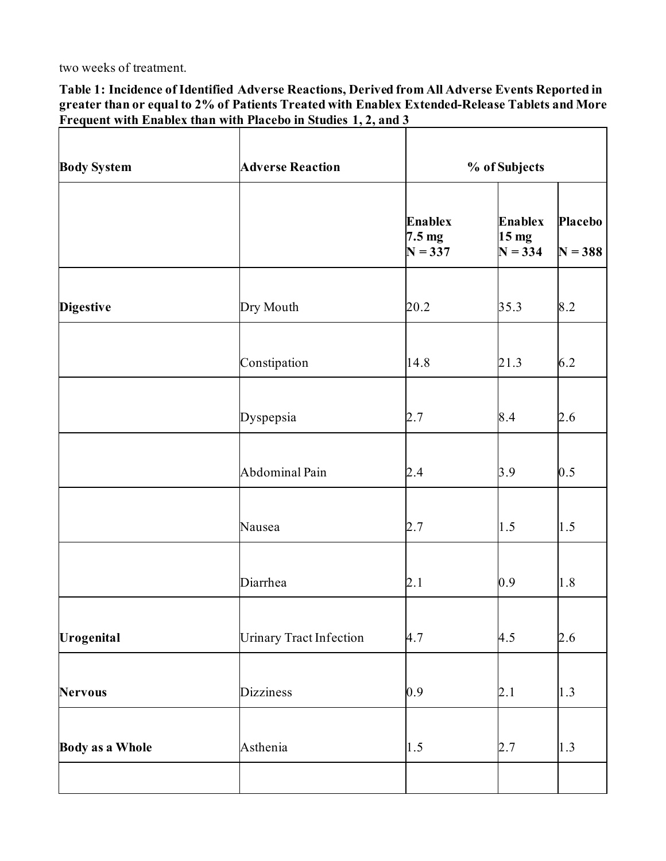two weeks of treatment.

<span id="page-3-0"></span>**Table 1: Incidence of Identified Adverse Reactions, Derived from All Adverse Events Reported in greater than or equal to 2% of Patients Treated with Enablex Extended-Release Tablets and More Frequent with Enablex than with Placebo in Studies 1, 2, and 3**

| <b>Body System</b>     | <b>Adverse Reaction</b>        |                                                 | % of Subjects                                   |                             |  |  |
|------------------------|--------------------------------|-------------------------------------------------|-------------------------------------------------|-----------------------------|--|--|
|                        |                                | <b>Enablex</b><br>$7.5 \text{ mg}$<br>$N = 337$ | <b>Enablex</b><br>15 <sub>mg</sub><br>$N = 334$ | <b>Placebo</b><br>$N = 388$ |  |  |
| <b>Digestive</b>       | Dry Mouth                      | 20.2                                            | 35.3                                            | 8.2                         |  |  |
|                        | Constipation                   | 14.8                                            | 21.3                                            | 6.2                         |  |  |
|                        | Dyspepsia                      | 2.7                                             | 8.4                                             | 2.6                         |  |  |
|                        | Abdominal Pain                 | 2.4                                             | 3.9                                             | 0.5                         |  |  |
|                        | Nausea                         | 2.7                                             | 1.5                                             | 1.5                         |  |  |
|                        | Diarrhea                       | 2.1                                             | 0.9                                             | 1.8                         |  |  |
| Urogenital             | <b>Urinary Tract Infection</b> | 4.7                                             | 4.5                                             | 2.6                         |  |  |
| <b>Nervous</b>         | <b>Dizziness</b>               | 0.9                                             | 2.1                                             | 1.3                         |  |  |
| <b>Body as a Whole</b> | Asthenia                       | 1.5                                             | 2.7                                             | 1.3                         |  |  |
|                        |                                |                                                 |                                                 |                             |  |  |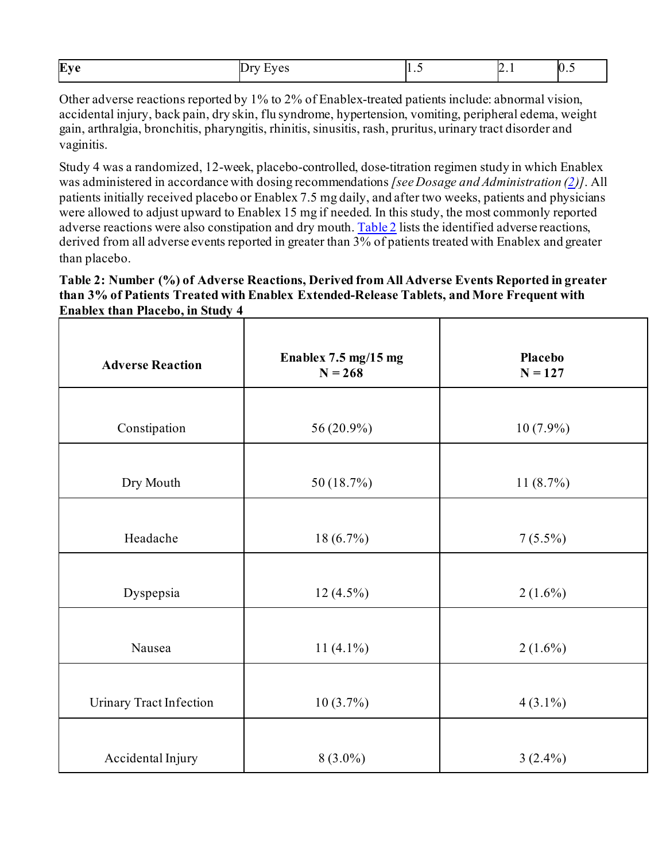| Eve |        |   |                                                            | И  |
|-----|--------|---|------------------------------------------------------------|----|
|     | $\sim$ | . | . .<br>the contract of the contract of the contract of the | п. |

Other adverse reactions reported by 1% to 2% of Enablex-treated patients include: abnormal vision, accidental injury, back pain, dry skin, flu syndrome, hypertension, vomiting, peripheral edema, weight gain, arthralgia, bronchitis, pharyngitis, rhinitis, sinusitis, rash, pruritus, urinary tract disorder and vaginitis.

Study 4 was a randomized, 12-week, placebo-controlled, dose-titration regimen study in which Enablex was administered in accordance with dosing recommendations *[see Dosage and Administration [\(2](#page-1-1))]*. All patients initially received placebo or Enablex 7.5 mg daily, and after two weeks, patients and physicians were allowed to adjust upward to Enablex 15 mg if needed. In this study, the most commonly reported adverse reactions were also constipation and dry mouth[. Table](#page-4-0) 2 lists the identified adverse reactions, derived from all adverse events reported in greater than 3% of patients treated with Enablex and greater than placebo.

#### <span id="page-4-0"></span>**Table 2: Number (%) of Adverse Reactions, Derived from All Adverse Events Reported in greater than 3% of Patients Treated with Enablex Extended-Release Tablets, and More Frequent with Enablex than Placebo, in Study 4**

| <b>Adverse Reaction</b>        | Enablex 7.5 mg/15 mg<br>$N = 268$ | Placebo<br>$N = 127$ |
|--------------------------------|-----------------------------------|----------------------|
| Constipation                   | 56 (20.9%)                        | $10(7.9\%)$          |
| Dry Mouth                      | 50 (18.7%)                        | 11(8.7%)             |
| Headache                       | $18(6.7\%)$                       | $7(5.5\%)$           |
| Dyspepsia                      | $12(4.5\%)$                       | $2(1.6\%)$           |
| Nausea                         | $11(4.1\%)$                       | $2(1.6\%)$           |
| <b>Urinary Tract Infection</b> | $10(3.7\%)$                       | $4(3.1\%)$           |
| Accidental Injury              | $8(3.0\%)$                        | $3(2.4\%)$           |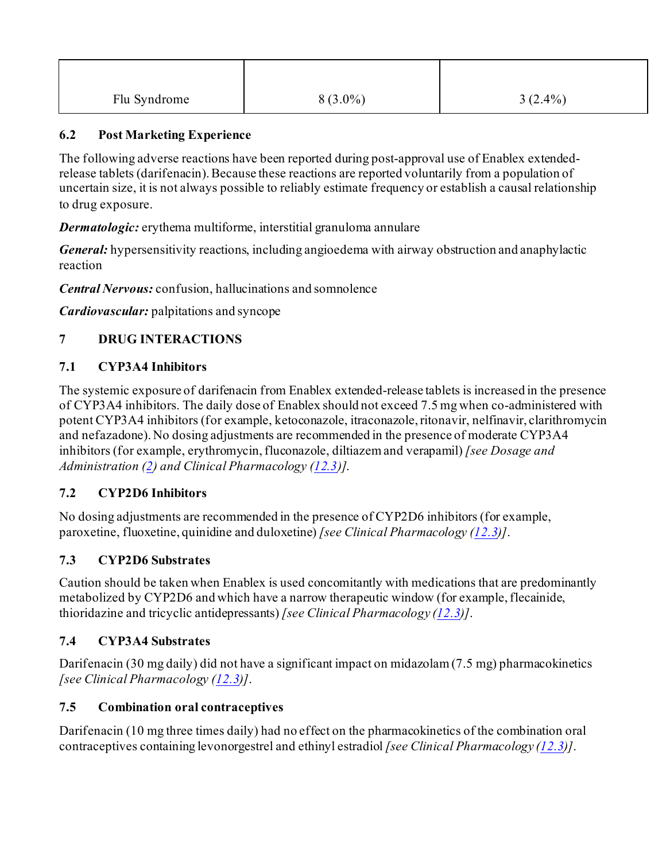| Flu Syndrome | $8(3.0\%)$ | $3(2.4\%)$ |
|--------------|------------|------------|

## <span id="page-5-3"></span>**6.2 Post Marketing Experience**

The following adverse reactions have been reported during post-approval use of Enablex extendedrelease tablets (darifenacin). Because these reactions are reported voluntarily from a population of uncertain size, it is not always possible to reliably estimate frequency or establish a causal relationship to drug exposure.

*Dermatologic:* erythema multiforme, interstitial granuloma annulare

*General:* hypersensitivity reactions, including angioedema with airway obstruction and anaphylactic reaction

*Central Nervous:* confusion, hallucinations and somnolence

*Cardiovascular:* palpitations and syncope

# <span id="page-5-4"></span>**7 DRUG INTERACTIONS**

# <span id="page-5-0"></span>**7.1 CYP3A4 Inhibitors**

The systemic exposure of darifenacin from Enablex extended-release tablets is increased in the presence of CYP3A4 inhibitors. The daily dose of Enablex should not exceed 7.5 mg when co-administered with potent CYP3A4 inhibitors (for example, ketoconazole, itraconazole, ritonavir, nelfinavir, clarithromycin and nefazadone). No dosing adjustments are recommended in the presence of moderate CYP3A4 inhibitors (for example, erythromycin, fluconazole, diltiazem and verapamil) *[see Dosage and Administration [\(2\)](#page-1-1) and Clinical Pharmacology [\(12.3](#page-9-1))]*.

# <span id="page-5-1"></span>**7.2 CYP2D6 Inhibitors**

No dosing adjustments are recommended in the presence of CYP2D6 inhibitors (for example, paroxetine, fluoxetine, quinidine and duloxetine) *[see Clinical Pharmacology [\(12.3](#page-9-1))]*.

# <span id="page-5-2"></span>**7.3 CYP2D6 Substrates**

Caution should be taken when Enablex is used concomitantly with medications that are predominantly metabolized by CYP2D6 and which have a narrow therapeutic window (for example, flecainide, thioridazine and tricyclic antidepressants) *[see Clinical Pharmacology [\(12.3](#page-9-1))]*.

# <span id="page-5-5"></span>**7.4 CYP3A4 Substrates**

Darifenacin (30 mg daily) did not have a significant impact on midazolam (7.5 mg) pharmacokinetics *[see Clinical Pharmacology [\(12.3](#page-9-1))]*.

# <span id="page-5-6"></span>**7.5 Combination oral contraceptives**

Darifenacin (10 mg three times daily) had no effect on the pharmacokinetics of the combination oral contraceptives containing levonorgestrel and ethinyl estradiol *[see Clinical Pharmacology [\(12.3](#page-9-1))]*.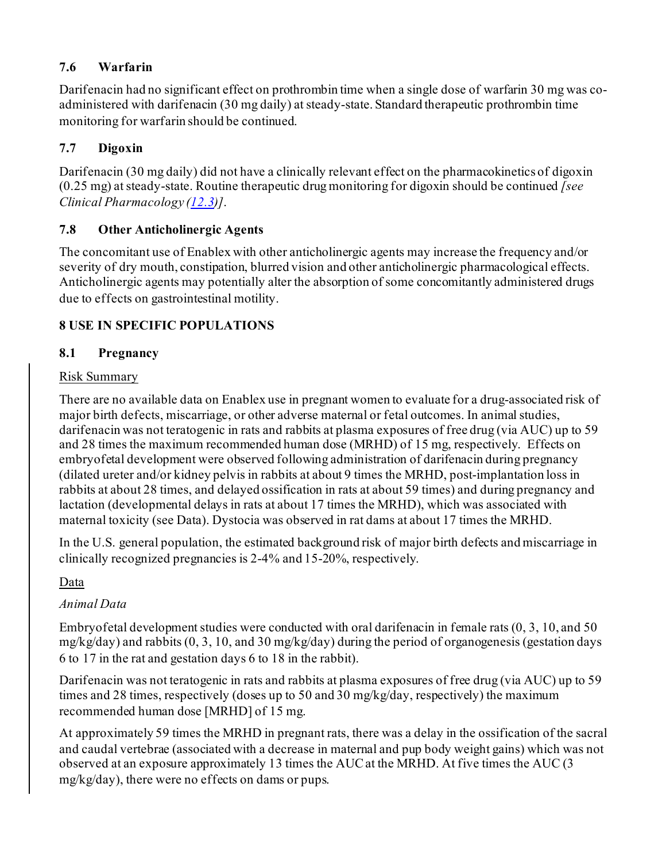# <span id="page-6-1"></span>**7.6 Warfarin**

Darifenacin had no significant effect on prothrombin time when a single dose of warfarin 30 mg was coadministered with darifenacin (30 mg daily) at steady-state. Standard therapeutic prothrombin time monitoring for warfarin should be continued.

# <span id="page-6-2"></span>**7.7 Digoxin**

Darifenacin (30 mg daily) did not have a clinically relevant effect on the pharmacokinetics of digoxin (0.25 mg) at steady-state. Routine therapeutic drug monitoring for digoxin should be continued *[see Clinical Pharmacology [\(12.3\)](#page-9-1)]*.

# <span id="page-6-3"></span>**7.8 Other Anticholinergic Agents**

The concomitant use of Enablex with other anticholinergic agents may increase the frequency and/or severity of dry mouth, constipation, blurred vision and other anticholinergic pharmacological effects. Anticholinergic agents may potentially alter the absorption of some concomitantly administered drugs due to effects on gastrointestinal motility.

# <span id="page-6-4"></span>**8 USE IN SPECIFIC POPULATIONS**

# <span id="page-6-0"></span>**8.1 Pregnancy**

### Risk Summary

There are no available data on Enablex use in pregnant women to evaluate for a drug-associated risk of major birth defects, miscarriage, or other adverse maternal or fetal outcomes. In animal studies, darifenacin was not teratogenic in rats and rabbits at plasma exposures of free drug (via AUC) up to 59 and 28 times the maximum recommended human dose (MRHD) of 15 mg, respectively. Effects on embryofetal development were observed following administration of darifenacin during pregnancy (dilated ureter and/or kidney pelvis in rabbits at about 9 times the MRHD, post-implantation loss in rabbits at about 28 times, and delayed ossification in rats at about 59 times) and during pregnancy and lactation (developmental delays in rats at about 17 times the MRHD), which was associated with maternal toxicity (see Data). Dystocia was observed in rat dams at about 17 times the MRHD.

In the U.S. general population, the estimated background risk of major birth defects and miscarriage in clinically recognized pregnancies is 2-4% and 15-20%, respectively.

# Data

# *Animal Data*

Embryofetal development studies were conducted with oral darifenacin in female rats (0, 3, 10, and 50 mg/kg/day) and rabbits (0, 3, 10, and 30 mg/kg/day) during the period of organogenesis (gestation days 6 to 17 in the rat and gestation days 6 to 18 in the rabbit).

Darifenacin was not teratogenic in rats and rabbits at plasma exposures of free drug (via AUC) up to 59 times and 28 times, respectively (doses up to 50 and 30 mg/kg/day, respectively) the maximum recommended human dose [MRHD] of 15 mg.

At approximately 59 times the MRHD in pregnant rats, there was a delay in the ossification of the sacral and caudal vertebrae (associated with a decrease in maternal and pup body weight gains) which was not observed at an exposure approximately 13 times the AUCat the MRHD. At five times the AUC (3 mg/kg/day), there were no effects on dams or pups.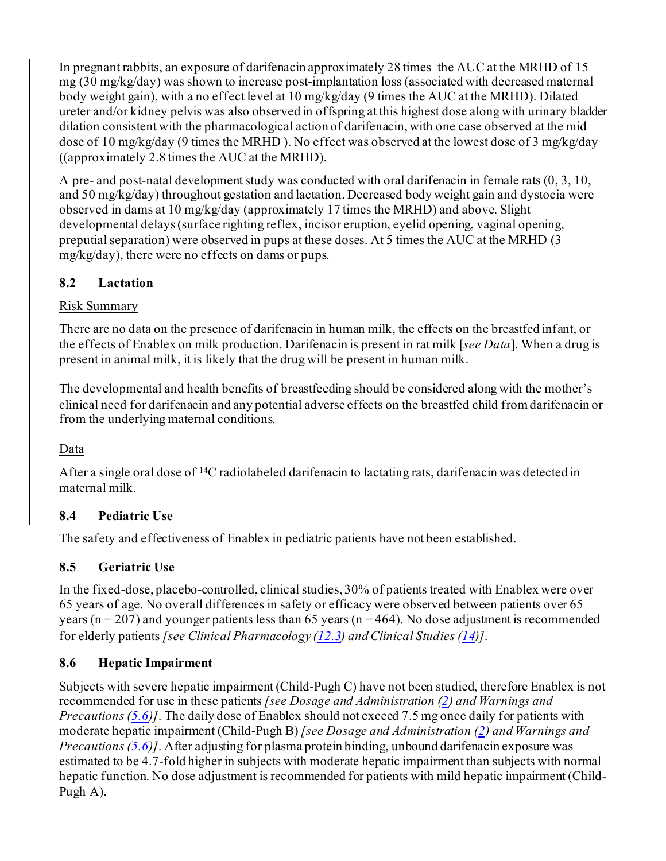In pregnant rabbits, an exposure of darifenacin approximately 28 times the AUC at the MRHD of 15 mg (30 mg/kg/day) was shown to increase post-implantation loss (associated with decreased maternal body weight gain), with a no effect level at 10 mg/kg/day (9 times the AUC at the MRHD). Dilated ureter and/or kidney pelvis was also observed in offspring at this highest dose along with urinary bladder dilation consistent with the pharmacological action of darifenacin, with one case observed at the mid dose of 10 mg/kg/day (9 times the MRHD ). No effect was observed at the lowest dose of 3 mg/kg/day ((approximately 2.8 times the AUC at the MRHD).

A pre- and post-natal development study was conducted with oral darifenacin in female rats (0, 3, 10, and 50 mg/kg/day) throughout gestation and lactation. Decreased body weight gain and dystocia were observed in dams at 10 mg/kg/day (approximately 17 times the MRHD) and above. Slight developmental delays (surface righting reflex, incisor eruption, eyelid opening, vaginal opening, preputial separation) were observed in pups at these doses. At 5 times the AUC at the MRHD (3 mg/kg/day), there were no effects on dams or pups.

# <span id="page-7-1"></span>**8.2 Lactation**

# Risk Summary

There are no data on the presence of darifenacin in human milk, the effects on the breastfed infant, or the effects of Enablex on milk production. Darifenacin is present in rat milk [*see Data*]. When a drug is present in animal milk, it is likely that the drug will be present in human milk.

The developmental and health benefits of breastfeeding should be considered along with the mother's clinical need for darifenacin and any potential adverse effects on the breastfed child from darifenacin or from the underlying maternal conditions.

# Data

After a single oral dose of 14C radiolabeled darifenacin to lactating rats, darifenacin was detected in maternal milk.

# <span id="page-7-2"></span>**8.4 Pediatric Use**

The safety and effectiveness of Enablex in pediatric patients have not been established.

# <span id="page-7-3"></span>**8.5 Geriatric Use**

In the fixed-dose, placebo-controlled, clinical studies, 30% of patients treated with Enablex were over 65 years of age. No overall differences in safety or efficacy were observed between patients over 65 years ( $n = 207$ ) and younger patients less than 65 years ( $n = 464$ ). No dose adjustment is recommended for elderly patients *[see Clinical Pharmacology [\(12.3](#page-9-1)) and Clinical Studies [\(14\)](#page-13-2)]*.

# <span id="page-7-0"></span>**8.6 Hepatic Impairment**

Subjects with severe hepatic impairment (Child-Pugh C) have not been studied, therefore Enablex is not recommended for use in these patients *[see Dosage and Administration [\(2](#page-1-1)) and Warnings and Precautions [\(5.6](#page-2-3))]*. The daily dose of Enablex should not exceed 7.5 mg once daily for patients with moderate hepatic impairment (Child-Pugh B) *[see Dosage and Administration [\(2](#page-1-1)) and Warnings and Precautions [\(5.6](#page-2-3))]*. After adjusting for plasma protein binding, unbound darifenacin exposure was estimated to be 4.7-fold higher in subjects with moderate hepatic impairment than subjects with normal hepatic function. No dose adjustment is recommended for patients with mild hepatic impairment (Child-Pugh A).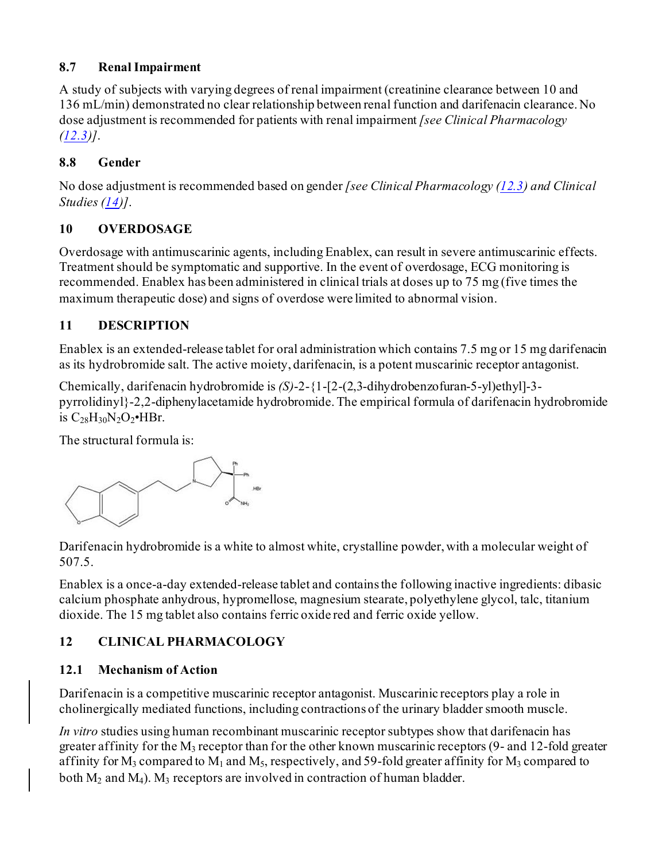# <span id="page-8-0"></span>**8.7 Renal Impairment**

A study of subjects with varying degrees of renal impairment (creatinine clearance between 10 and 136 mL/min) demonstrated no clear relationship between renal function and darifenacin clearance. No dose adjustment is recommended for patients with renal impairment *[see Clinical Pharmacology [\(12.3\)](#page-9-1)]*.

# <span id="page-8-1"></span>**8.8 Gender**

No dose adjustment is recommended based on gender *[see Clinical Pharmacology [\(12.3](#page-9-1)) and Clinical Studies [\(14\)](#page-13-2)]*.

# <span id="page-8-2"></span>**10 OVERDOSAGE**

Overdosage with antimuscarinic agents, including Enablex, can result in severe antimuscarinic effects. Treatment should be symptomatic and supportive. In the event of overdosage, ECG monitoring is recommended. Enablex has been administered in clinical trials at doses up to 75 mg (five times the maximum therapeutic dose) and signs of overdose were limited to abnormal vision.

# <span id="page-8-3"></span>**11 DESCRIPTION**

Enablex is an extended-release tablet for oral administration which contains 7.5 mg or 15 mg darifenacin as its hydrobromide salt. The active moiety, darifenacin, is a potent muscarinic receptor antagonist.

Chemically, darifenacin hydrobromide is *(S)*-2-{1-[2-(2,3-dihydrobenzofuran-5-yl)ethyl]-3 pyrrolidinyl}-2,2-diphenylacetamide hydrobromide. The empirical formula of darifenacin hydrobromide is  $C_{28}H_{30}N_2O_2$ •HBr.

The structural formula is:



Darifenacin hydrobromide is a white to almost white, crystalline powder, with a molecular weight of 507.5.

Enablex is a once-a-day extended-release tablet and contains the following inactive ingredients: dibasic calcium phosphate anhydrous, hypromellose, magnesium stearate, polyethylene glycol, talc, titanium dioxide. The 15 mg tablet also contains ferric oxide red and ferric oxide yellow.

# <span id="page-8-4"></span>**12 CLINICAL PHARMACOLOGY**

# <span id="page-8-5"></span>**12.1 Mechanism of Action**

Darifenacin is a competitive muscarinic receptor antagonist. Muscarinic receptors play a role in cholinergically mediated functions, including contractions of the urinary bladder smooth muscle.

*In vitro* studies using human recombinant muscarinic receptor subtypes show that darifenacin has greater affinity for the  $M_3$  receptor than for the other known muscarinic receptors (9- and 12-fold greater affinity for  $M_3$  compared to  $M_1$  and  $M_5$ , respectively, and 59-fold greater affinity for  $M_3$  compared to both  $M_2$  and  $M_4$ ).  $M_3$  receptors are involved in contraction of human bladder.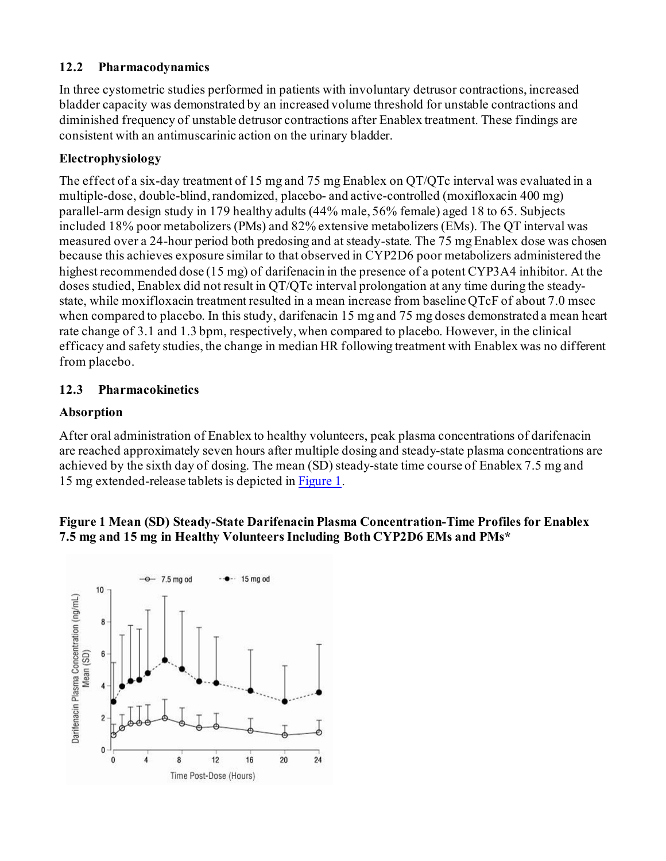### <span id="page-9-0"></span>**12.2 Pharmacodynamics**

In three cystometric studies performed in patients with involuntary detrusor contractions, increased bladder capacity was demonstrated by an increased volume threshold for unstable contractions and diminished frequency of unstable detrusor contractions after Enablex treatment. These findings are consistent with an antimuscarinic action on the urinary bladder.

### **Electrophysiology**

The effect of a six-day treatment of 15 mg and 75 mg Enablex on QT/QTc interval was evaluated in a multiple-dose, double-blind, randomized, placebo- and active-controlled (moxifloxacin 400 mg) parallel-arm design study in 179 healthy adults (44% male, 56% female) aged 18 to 65. Subjects included 18% poor metabolizers (PMs) and 82% extensive metabolizers (EMs). The QT interval was measured over a 24-hour period both predosing and at steady-state. The 75 mg Enablex dose was chosen because this achieves exposure similar to that observed in CYP2D6 poor metabolizers administered the highest recommended dose (15 mg) of darifenacin in the presence of a potent CYP3A4 inhibitor. At the doses studied, Enablex did not result in QT/QTc interval prolongation at any time during the steadystate, while moxifloxacin treatment resulted in a mean increase from baseline QTcF of about 7.0 msec when compared to placebo. In this study, darifenacin 15 mg and 75 mg doses demonstrated a mean heart rate change of 3.1 and 1.3 bpm, respectively, when compared to placebo. However, in the clinical efficacy and safety studies, the change in median HR following treatment with Enablex was no different from placebo.

### <span id="page-9-1"></span>**12.3 Pharmacokinetics**

### **Absorption**

After oral administration of Enablex to healthy volunteers, peak plasma concentrations of darifenacin are reached approximately seven hours after multiple dosing and steady-state plasma concentrations are achieved by the sixth day of dosing. The mean (SD) steady-state time course of Enablex 7.5 mg and 15 mg extended-release tablets is depicted i[n Figure](#page-9-2) 1.

#### <span id="page-9-2"></span>**Figure 1 Mean (SD) Steady-State Darifenacin Plasma Concentration-Time Profiles for Enablex 7.5 mg and 15 mg in Healthy Volunteers Including Both CYP2D6 EMs and PMs\***

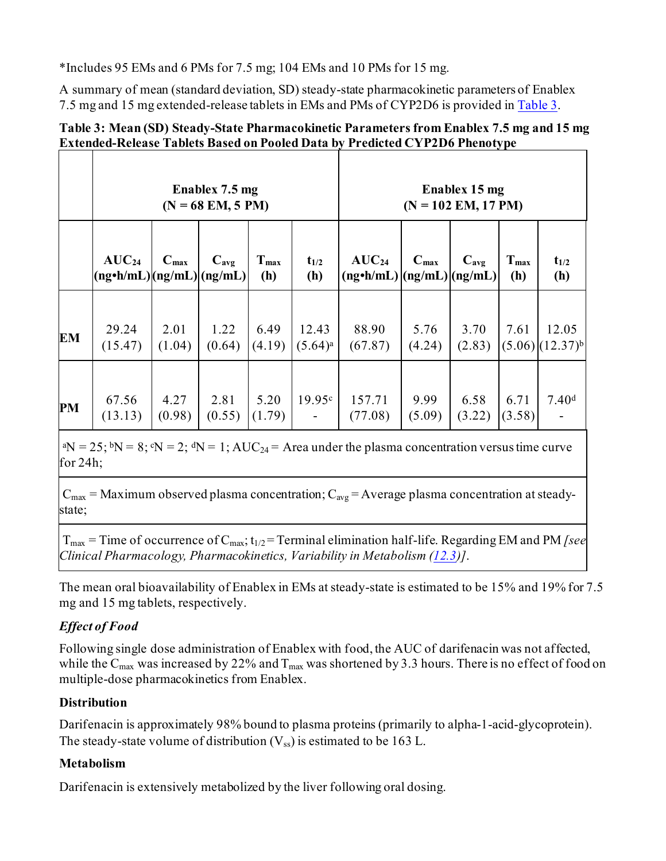\*Includes 95 EMs and 6 PMs for 7.5 mg; 104 EMs and 10 PMs for 15 mg.

A summary of mean (standard deviation, SD) steady-state pharmacokinetic parameters of Enablex 7.5 mg and 15 mg extended-release tablets in EMs and PMs of CYP2D6 is provided i[n Table](#page-10-0) 3.

### <span id="page-10-0"></span>**Table 3: Mean (SD) Steady-State Pharmacokinetic Parameters from Enablex 7.5 mg and 15 mg Extended-Release Tablets Based on Pooled Data by Predicted CYP2D6 Phenotype**

|           | Enablex 7.5 mg<br>$(N = 68$ EM, 5 PM)        |                  |                |                         | Enablex 15 mg<br>$(N = 102$ EM, 17 PM) |                                                    |                  |                  |                         |                                          |
|-----------|----------------------------------------------|------------------|----------------|-------------------------|----------------------------------------|----------------------------------------------------|------------------|------------------|-------------------------|------------------------------------------|
|           | $AUC_{24}$<br>$(ng\cdot h/mL)(ng/mL)(ng/mL)$ | $C_{\text{max}}$ | $C_{avg}$      | T <sub>max</sub><br>(h) | $t_{1/2}$<br>(h)                       | $AUC_{24}$<br>$(ng\cdot h/mL)$ $(ng/mL)$ $(ng/mL)$ | $C_{\text{max}}$ | $C_{\text{avg}}$ | T <sub>max</sub><br>(h) | $t_{1/2}$<br>(h)                         |
| <b>EM</b> | 29.24<br>(15.47)                             | 2.01<br>(1.04)   | 1.22<br>(0.64) | 6.49<br>(4.19)          | 12.43<br>$(5.64)^a$                    | 88.90<br>(67.87)                                   | 5.76<br>(4.24)   | 3.70<br>(2.83)   | 7.61                    | 12.05<br>$(5.06)$ $(12.37)$ <sup>b</sup> |
| PM        | 67.56<br>(13.13)                             | 4.27<br>(0.98)   | 2.81<br>(0.55) | 5.20<br>(1.79)          | 19.95c                                 | 157.71<br>(77.08)                                  | 9.99<br>(5.09)   | 6.58<br>(3.22)   | 6.71<br>(3.58)          | 7.40 <sup>d</sup>                        |

<sup>a</sup>N = 25; <sup>b</sup>N = 8;  $\rm \acute{e}N$  = 2;  $\rm \acute{d}N$  = 1; AUC<sub>24</sub> = Area under the plasma concentration versus time curve for 24h;

 $C_{\text{max}}$  = Maximum observed plasma concentration;  $C_{\text{avg}}$  = Average plasma concentration at steadystate;

 $T_{\text{max}}$  = Time of occurrence of  $C_{\text{max}}$ ;  $t_{1/2}$  = Terminal elimination half-life. Regarding EM and PM *[see*] *Clinical Pharmacology, Pharmacokinetics, Variability in Metabolism [\(12.3](#page-9-1))]*.

The mean oral bioavailability of Enablex in EMs at steady-state is estimated to be 15% and 19% for 7.5 mg and 15 mg tablets, respectively.

# *Effect of Food*

Following single dose administration of Enablex with food, the AUC of darifenacin was not affected, while the  $C_{\text{max}}$  was increased by 22% and  $T_{\text{max}}$  was shortened by 3.3 hours. There is no effect of food on multiple-dose pharmacokinetics from Enablex.

# **Distribution**

Darifenacin is approximately 98% bound to plasma proteins (primarily to alpha-1-acid-glycoprotein). The steady-state volume of distribution  $(V_{ss})$  is estimated to be 163 L.

# **Metabolism**

Darifenacin is extensively metabolized by the liver following oral dosing.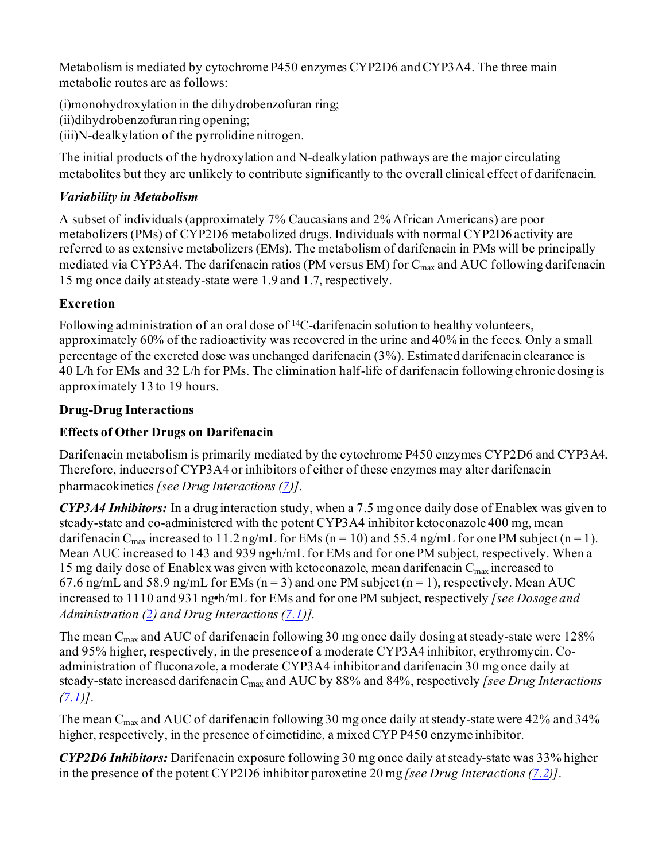Metabolism is mediated by cytochrome P450 enzymes CYP2D6 and CYP3A4. The three main metabolic routes are as follows:

(i)monohydroxylation in the dihydrobenzofuran ring;

(ii)dihydrobenzofuran ring opening;

(iii)N-dealkylation of the pyrrolidine nitrogen.

The initial products of the hydroxylation and N-dealkylation pathways are the major circulating metabolites but they are unlikely to contribute significantly to the overall clinical effect of darifenacin.

# *Variability in Metabolism*

A subset of individuals (approximately 7% Caucasians and 2% African Americans) are poor metabolizers (PMs) of CYP2D6 metabolized drugs. Individuals with normal CYP2D6 activity are referred to as extensive metabolizers (EMs). The metabolism of darifenacin in PMs will be principally mediated via CYP3A4. The darifenacin ratios (PM versus EM) for C<sub>max</sub> and AUC following darifenacin 15 mg once daily at steady-state were 1.9 and 1.7, respectively.

# **Excretion**

Following administration of an oral dose of <sup>14</sup>C-darifenacin solution to healthy volunteers, approximately 60% of the radioactivity was recovered in the urine and 40% in the feces. Only a small percentage of the excreted dose was unchanged darifenacin (3%). Estimated darifenacin clearance is 40 L/h for EMs and 32 L/h for PMs. The elimination half-life of darifenacin following chronic dosing is approximately 13 to 19 hours.

# **Drug-Drug Interactions**

# **Effects of Other Drugs on Darifenacin**

Darifenacin metabolism is primarily mediated by the cytochrome P450 enzymes CYP2D6 and CYP3A4. Therefore, inducers of CYP3A4 or inhibitors of either of these enzymes may alter darifenacin pharmacokinetics *[see Drug Interactions [\(7](#page-5-4))]*.

*CYP3A4 Inhibitors:* In a drug interaction study, when a 7.5 mg once daily dose of Enablex was given to steady-state and co-administered with the potent CYP3A4 inhibitor ketoconazole 400 mg, mean darifenacin C<sub>max</sub> increased to 11.2 ng/mL for EMs (n = 10) and 55.4 ng/mL for one PM subject (n = 1). Mean AUC increased to 143 and 939 ng**•**h/mL for EMs and for one PM subject, respectively. When a 15 mg daily dose of Enablex was given with ketoconazole, mean darifenacin  $C_{\text{max}}$  increased to 67.6 ng/mL and 58.9 ng/mL for EMs ( $n = 3$ ) and one PM subject ( $n = 1$ ), respectively. Mean AUC increased to 1110 and 931 ng**•**h/mL for EMs and for one PM subject, respectively *[see Dosage and Administration [\(2\)](#page-1-1) and Drug Interactions [\(7.1](#page-5-0))]*.

The mean  $C_{\text{max}}$  and AUC of darifenacin following 30 mg once daily dosing at steady-state were 128% and 95% higher, respectively, in the presence of a moderate CYP3A4 inhibitor, erythromycin. Coadministration of fluconazole, a moderate CYP3A4 inhibitor and darifenacin 30 mg once daily at steady-state increased darifenacin Cmax and AUC by 88% and 84%, respectively *[see Drug Interactions [\(7.1\)](#page-5-0)]*.

The mean C<sub>max</sub> and AUC of darifenacin following 30 mg once daily at steady-state were 42% and 34% higher, respectively, in the presence of cimetidine, a mixed CYP P450 enzyme inhibitor.

*CYP2D6 Inhibitors:* Darifenacin exposure following 30 mg once daily at steady-state was 33% higher in the presence of the potent CYP2D6 inhibitor paroxetine 20 mg *[see Drug Interactions [\(7.2](#page-5-1))]*.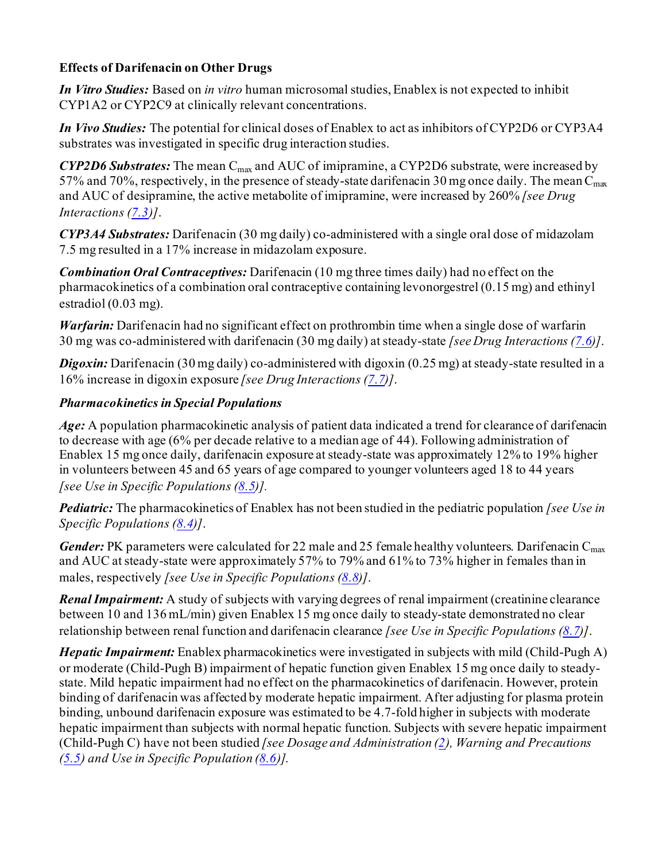# **Effects of Darifenacin on Other Drugs**

*In Vitro Studies:* Based on *in vitro* human microsomal studies, Enablex is not expected to inhibit CYP1A2 or CYP2C9 at clinically relevant concentrations.

*In Vivo Studies:* The potential for clinical doses of Enablex to act as inhibitors of CYP2D6 or CYP3A4 substrates was investigated in specific drug interaction studies.

*CYP2D6 Substrates:* The mean C<sub>max</sub> and AUC of imipramine, a CYP2D6 substrate, were increased by 57% and 70%, respectively, in the presence of steady-state darifenacin 30 mg once daily. The mean  $C_{\text{max}}$ and AUC of desipramine, the active metabolite of imipramine, were increased by 260% *[see Drug Interactions [\(7.3](#page-5-2))]*.

*CYP3A4 Substrates:* Darifenacin (30 mg daily) co-administered with a single oral dose of midazolam 7.5 mg resulted in a 17% increase in midazolam exposure.

*Combination Oral Contraceptives:* Darifenacin (10 mg three times daily) had no effect on the pharmacokinetics of a combination oral contraceptive containing levonorgestrel (0.15 mg) and ethinyl estradiol (0.03 mg).

*Warfarin:* Darifenacin had no significant effect on prothrombin time when a single dose of warfarin 30 mg was co-administered with darifenacin (30 mg daily) at steady-state *[see Drug Interactions [\(7.6](#page-6-1))]*.

**Digoxin:** Darifenacin (30 mg daily) co-administered with digoxin (0.25 mg) at steady-state resulted in a 16% increase in digoxin exposure *[see Drug Interactions [\(7.7](#page-6-2))]*.

# *Pharmacokinetics in Special Populations*

*Age:* A population pharmacokinetic analysis of patient data indicated a trend for clearance of darifenacin to decrease with age (6% per decade relative to a median age of 44). Following administration of Enablex 15 mg once daily, darifenacin exposure at steady-state was approximately 12% to 19% higher in volunteers between 45 and 65 years of age compared to younger volunteers aged 18 to 44 years *[see Use in Specific Populations [\(8.5](#page-7-3))].*

*Pediatric:* The pharmacokinetics of Enablex has not been studied in the pediatric population *[see Use in Specific Populations [\(8.4](#page-7-2))]*.

*Gender:* PK parameters were calculated for 22 male and 25 female healthy volunteers. Darifenacin  $C_{\text{max}}$ and AUC at steady-state were approximately 57% to 79% and 61% to 73% higher in females than in males, respectively *[see Use in Specific Populations [\(8.8](#page-8-1))]*.

*Renal Impairment:* A study of subjects with varying degrees of renal impairment (creatinine clearance between 10 and 136 mL/min) given Enablex 15 mg once daily to steady-state demonstrated no clear relationship between renal function and darifenacin clearance *[see Use in Specific Populations [\(8.7](#page-8-0))]*.

*Hepatic Impairment:* Enablex pharmacokinetics were investigated in subjects with mild (Child-Pugh A) or moderate (Child-Pugh B) impairment of hepatic function given Enablex 15 mg once daily to steadystate. Mild hepatic impairment had no effect on the pharmacokinetics of darifenacin. However, protein binding of darifenacin was affected by moderate hepatic impairment. After adjusting for plasma protein binding, unbound darifenacin exposure was estimated to be 4.7-fold higher in subjects with moderate hepatic impairment than subjects with normal hepatic function. Subjects with severe hepatic impairment (Child-Pugh C) have not been studied *[see Dosage and Administration [\(2\)](#page-1-1), Warning and Precautions [\(5.5\)](#page-2-0) and Use in Specific Population [\(8.6](#page-7-0))]*.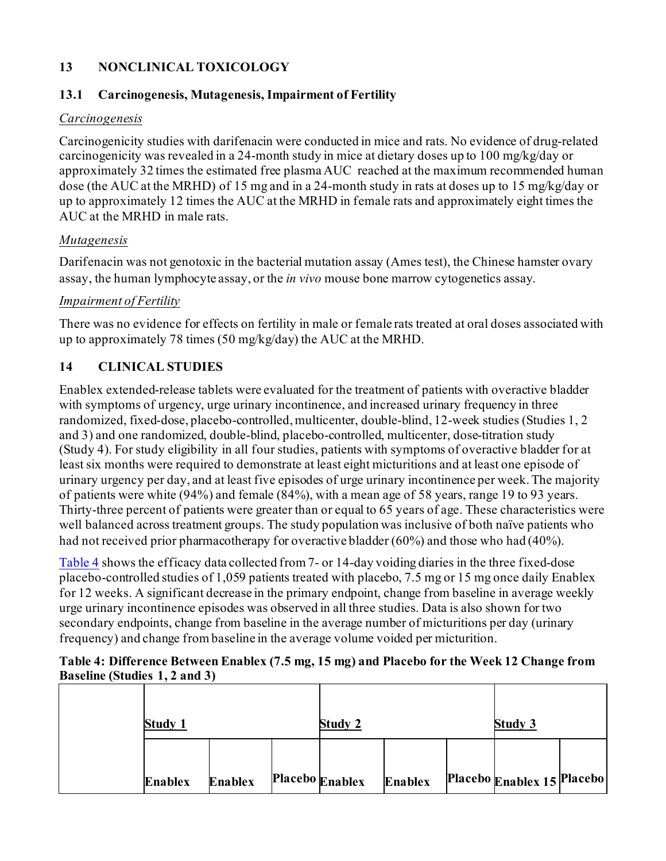# <span id="page-13-0"></span>**13 NONCLINICAL TOXICOLOGY**

# <span id="page-13-1"></span>**13.1 Carcinogenesis, Mutagenesis, Impairment of Fertility**

#### *Carcinogenesis*

Carcinogenicity studies with darifenacin were conducted in mice and rats. No evidence of drug-related carcinogenicity was revealed in a 24-month study in mice at dietary doses up to 100 mg/kg/day or approximately 32 times the estimated free plasma AUC reached at the maximum recommended human dose (the AUC at the MRHD) of 15 mg and in a 24-month study in rats at doses up to 15 mg/kg/day or up to approximately 12 times the AUC at the MRHD in female rats and approximately eight times the AUC at the MRHD in male rats.

### *Mutagenesis*

Darifenacin was not genotoxic in the bacterial mutation assay (Ames test), the Chinese hamster ovary assay, the human lymphocyte assay, or the *in vivo* mouse bone marrow cytogenetics assay.

### *Impairment of Fertility*

There was no evidence for effects on fertility in male or female rats treated at oral doses associated with up to approximately 78 times (50 mg/kg/day) the AUC at the MRHD.

# <span id="page-13-2"></span>**14 CLINICAL STUDIES**

Enablex extended-release tablets were evaluated for the treatment of patients with overactive bladder with symptoms of urgency, urge urinary incontinence, and increased urinary frequency in three randomized, fixed-dose, placebo-controlled, multicenter, double-blind, 12-week studies (Studies 1, 2 and 3) and one randomized, double-blind, placebo-controlled, multicenter, dose-titration study (Study 4). For study eligibility in all four studies, patients with symptoms of overactive bladder for at least six months were required to demonstrate at least eight micturitions and at least one episode of urinary urgency per day, and at least five episodes of urge urinary incontinence per week. The majority of patients were white (94%) and female (84%), with a mean age of 58 years, range 19 to 93 years. Thirty-three percent of patients were greater than or equal to 65 years of age. These characteristics were well balanced across treatment groups. The study population was inclusive of both naïve patients who had not received prior pharmacotherapy for overactive bladder (60%) and those who had (40%).

[Table](#page-13-3) 4 shows the efficacy data collected from 7- or 14-day voiding diaries in the three fixed-dose placebo-controlled studies of 1,059 patients treated with placebo, 7.5 mg or 15 mg once daily Enablex for 12 weeks. A significant decrease in the primary endpoint, change from baseline in average weekly urge urinary incontinence episodes was observed in all three studies. Data is also shown for two secondary endpoints, change from baseline in the average number of micturitions per day (urinary frequency) and change from baseline in the average volume voided per micturition.

### <span id="page-13-3"></span>**Table 4: Difference Between Enablex (7.5 mg, 15 mg) and Placebo for the Week 12 Change from Baseline (Studies 1, 2 and 3)**

| <b>Study 1</b> |                | Study 2         |                | <b>Study 3</b>             |  |
|----------------|----------------|-----------------|----------------|----------------------------|--|
| <b>Enablex</b> | <b>Enablex</b> | Placebo Enablex | <b>Enablex</b> | Placebo Enablex 15 Placebo |  |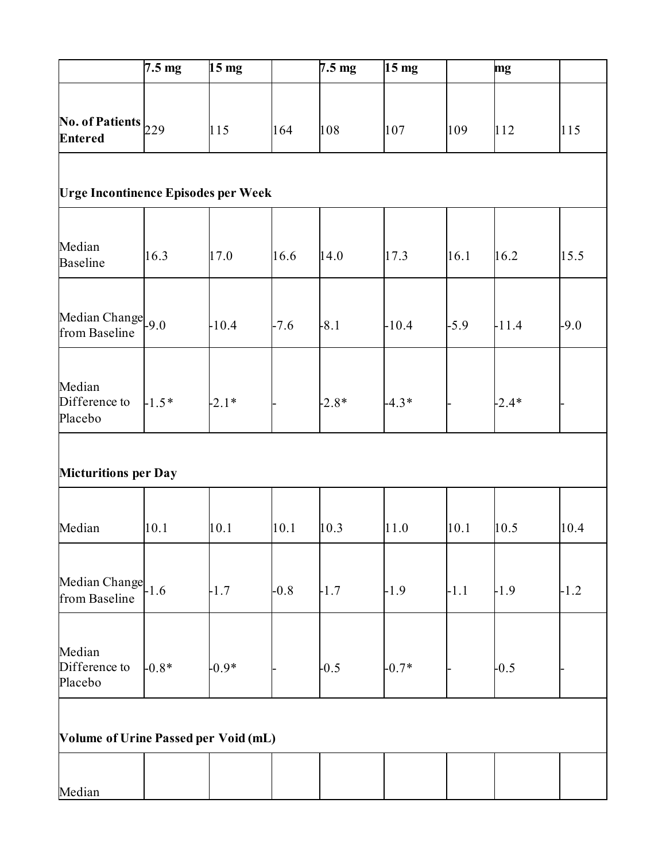|                                             | $7.5 \text{ mg}$ | $15 \text{ mg}$ |        | $7.5 \text{ mg}$ | 15 <sub>mg</sub> |        | mg      |        |
|---------------------------------------------|------------------|-----------------|--------|------------------|------------------|--------|---------|--------|
| No. of Patients $_{229}$<br><b>Entered</b>  |                  | 115             | 164    | 108              | 107              | 109    | 112     | 115    |
| <b>Urge Incontinence Episodes per Week</b>  |                  |                 |        |                  |                  |        |         |        |
| Median<br><b>Baseline</b>                   | 16.3             | 17.0            | 16.6   | 14.0             | 17.3             | 16.1   | 16.2    | 15.5   |
| Median Change 9.0<br>from Baseline          |                  | $-10.4$         | $-7.6$ | $-8.1$           | $-10.4$          | $-5.9$ | $-11.4$ | $-9.0$ |
| Median<br>Difference to<br>Placebo          | $-1.5*$          | $-2.1*$         |        | $-2.8*$          | $-4.3*$          |        | $-2.4*$ |        |
| <b>Micturitions per Day</b>                 |                  |                 |        |                  |                  |        |         |        |
| Median                                      | 10.1             | 10.1            | 10.1   | 10.3             | 11.0             | 10.1   | 10.5    | 10.4   |
| Median Change 1.6<br>from Baseline          |                  | $-1.7$          | $-0.8$ | $-1.7$           | $-1.9$           | $-1.1$ | $-1.9$  | $-1.2$ |
| Median<br>Difference to<br>Placebo          | $-0.8*$          | $-0.9*$         |        | $-0.5$           | $-0.7*$          |        | $-0.5$  |        |
| <b>Volume of Urine Passed per Void (mL)</b> |                  |                 |        |                  |                  |        |         |        |
| Median                                      |                  |                 |        |                  |                  |        |         |        |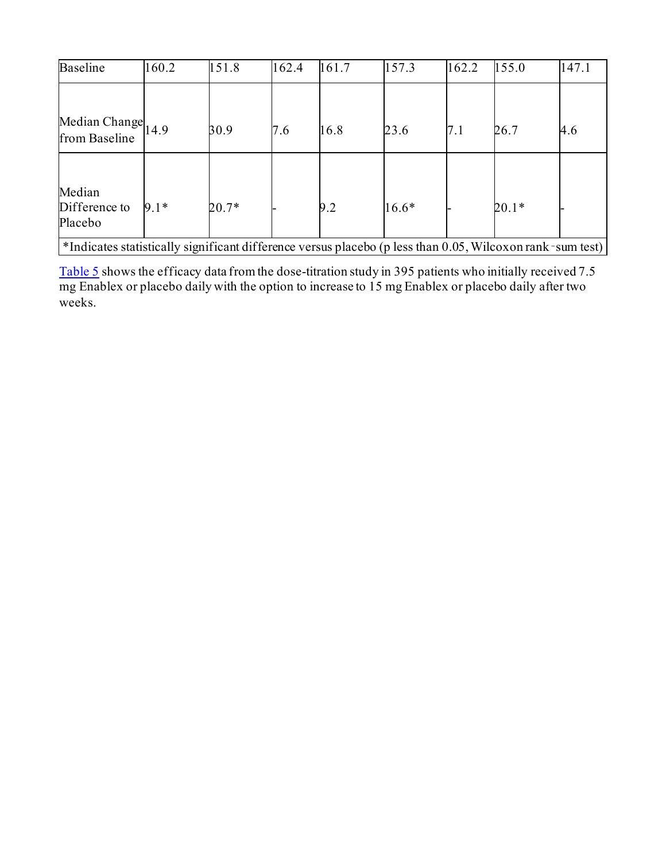| <b>Baseline</b>                                                                                           | 160.2  | 151.8   | 162.4 | 161.7 | 157.3   | 162.2 | 155.0   | 147.1 |
|-----------------------------------------------------------------------------------------------------------|--------|---------|-------|-------|---------|-------|---------|-------|
| Median Change $\vert_{14.9}$                                                                              |        | 30.9    | 7.6   | 16.8  | 23.6    | 7.1   | 26.7    | 4.6   |
| from Baseline                                                                                             |        |         |       |       |         |       |         |       |
| Median<br>Difference to<br>Placebo                                                                        | $9.1*$ | $20.7*$ |       | 9.2   | $16.6*$ |       | $20.1*$ |       |
| *Indicates statistically significant difference versus placebo (p less than 0.05, Wilcoxon rank-sum test) |        |         |       |       |         |       |         |       |

<span id="page-15-0"></span>[Table 5](#page-15-0) shows the efficacy data from the dose-titration study in 395 patients who initially received 7.5 mg Enablex or placebo daily with the option to increase to 15 mg Enablex or placebo daily after two weeks.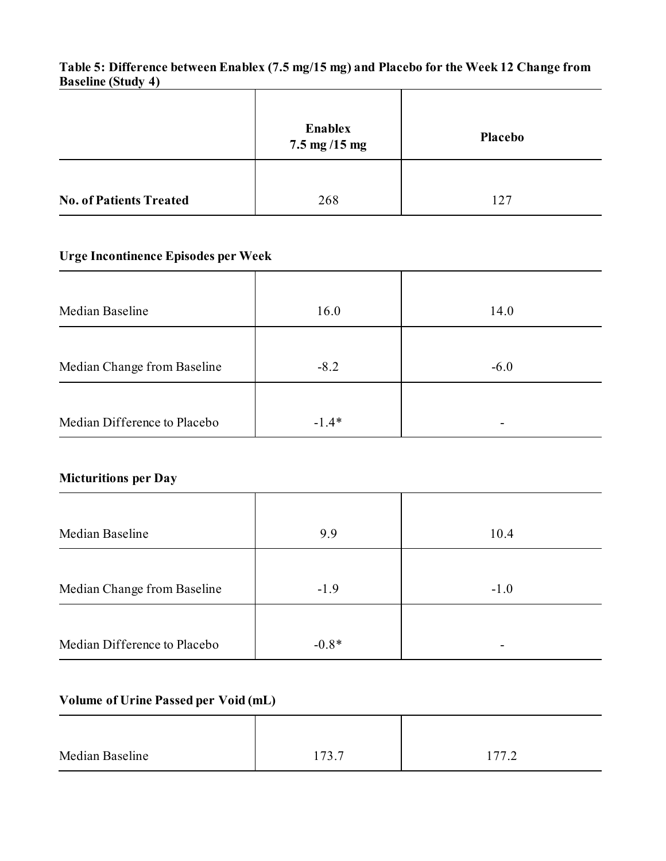# **Table 5: Difference between Enablex (7.5 mg/15 mg) and Placebo for the Week 12 Change from Baseline (Study 4)**

|                                | Enablex<br>$7.5 \,\mathrm{mg}$ /15 mg | Placebo |
|--------------------------------|---------------------------------------|---------|
| <b>No. of Patients Treated</b> | 268                                   | 127     |

# **Urge Incontinence Episodes per Week**

| Median Baseline              | 16.0    | 14.0   |
|------------------------------|---------|--------|
|                              |         |        |
| Median Change from Baseline  | $-8.2$  | $-6.0$ |
|                              |         |        |
| Median Difference to Placebo | $-1.4*$ |        |

# **Micturitions per Day**

| Median Baseline              | 9.9     | 10.4   |
|------------------------------|---------|--------|
|                              |         |        |
| Median Change from Baseline  | $-1.9$  | $-1.0$ |
|                              |         |        |
| Median Difference to Placebo | $-0.8*$ |        |

# **Volume of Urine Passed per Void (mL)**

| Median Baseline | $173 -$<br>1 <i>1 J</i> . <i>1</i> | 1777<br>$\cdot$ $\sim$ |
|-----------------|------------------------------------|------------------------|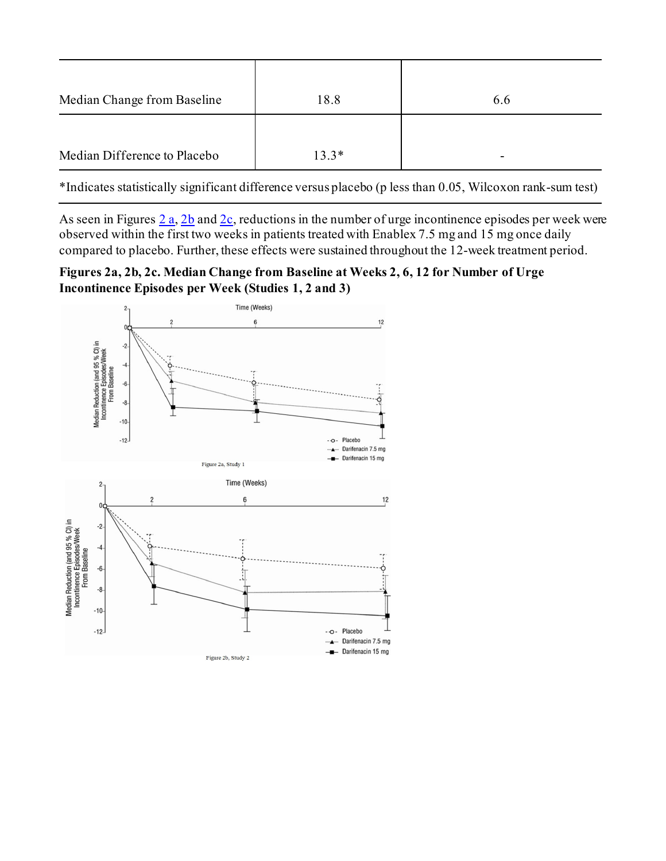| Median Change from Baseline  | 18.8    | 6.6 |
|------------------------------|---------|-----|
| Median Difference to Placebo | $13.3*$ |     |

\*Indicates statistically significant difference versus placebo (p less than 0.05, Wilcoxon rank-sum test)

As seen in Figures  $2a$ ,  $2b$  and  $2c$ , reductions in the number of urge incontinence episodes per week were observed within the first two weeks in patients treated with Enablex 7.5 mg and 15 mg once daily compared to placebo. Further, these effects were sustained throughout the 12-week treatment period.

<span id="page-17-0"></span>**Figures 2a, 2b, 2c. Median Change from Baseline at Weeks 2, 6, 12 for Number of Urge Incontinence Episodes per Week (Studies 1, 2 and 3)**

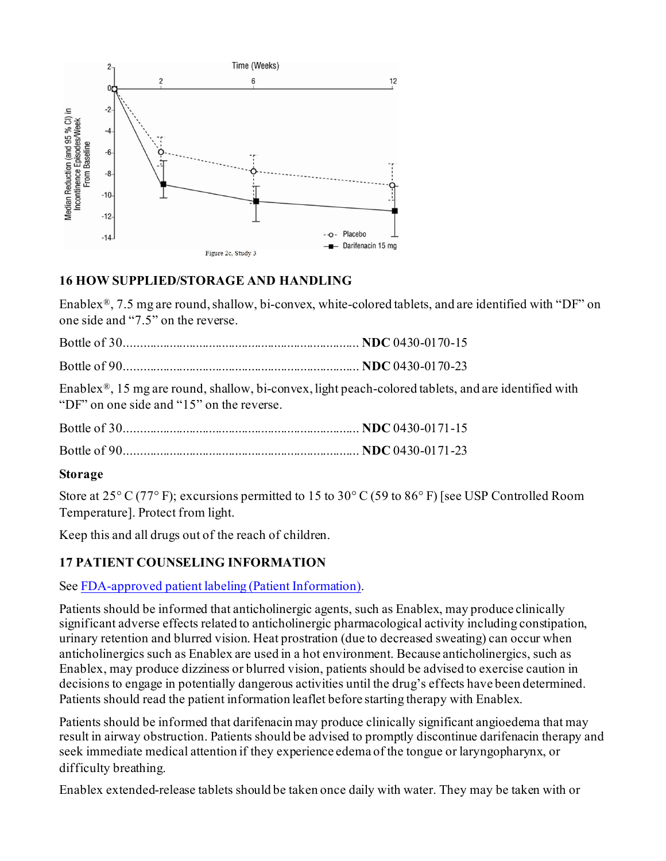

# <span id="page-18-0"></span>**16 HOW SUPPLIED/STORAGE AND HANDLING**

Enablex®, 7.5 mg are round, shallow, bi-convex, white-colored tablets, and are identified with "DF" on one side and "7.5" on the reverse.

Enablex®, 15 mg are round, shallow, bi-convex, light peach-colored tablets, and are identified with "DF" on one side and "15" on the reverse.

# **Storage**

Store at 25° C (77° F); excursions permitted to 15 to 30° C (59 to 86° F) [see USP Controlled Room Temperature]. Protect from light.

Keep this and all drugs out of the reach of children.

# <span id="page-18-1"></span>**17 PATIENT COUNSELING INFORMATION**

See [FDA-approved patient labeling \(Patient Information](#page-19-0)).

Patients should be informed that anticholinergic agents, such as Enablex, may produce clinically significant adverse effects related to anticholinergic pharmacological activity including constipation, urinary retention and blurred vision. Heat prostration (due to decreased sweating) can occur when anticholinergics such as Enablex are used in a hot environment. Because anticholinergics, such as Enablex, may produce dizziness or blurred vision, patients should be advised to exercise caution in decisions to engage in potentially dangerous activities until the drug's effects have been determined. Patients should read the patient information leaflet before starting therapy with Enablex.

Patients should be informed that darifenacin may produce clinically significant angioedema that may result in airway obstruction. Patients should be advised to promptly discontinue darifenacin therapy and seek immediate medical attention if they experience edema of the tongue or laryngopharynx, or difficulty breathing.

Enablex extended-release tablets should be taken once daily with water. They may be taken with or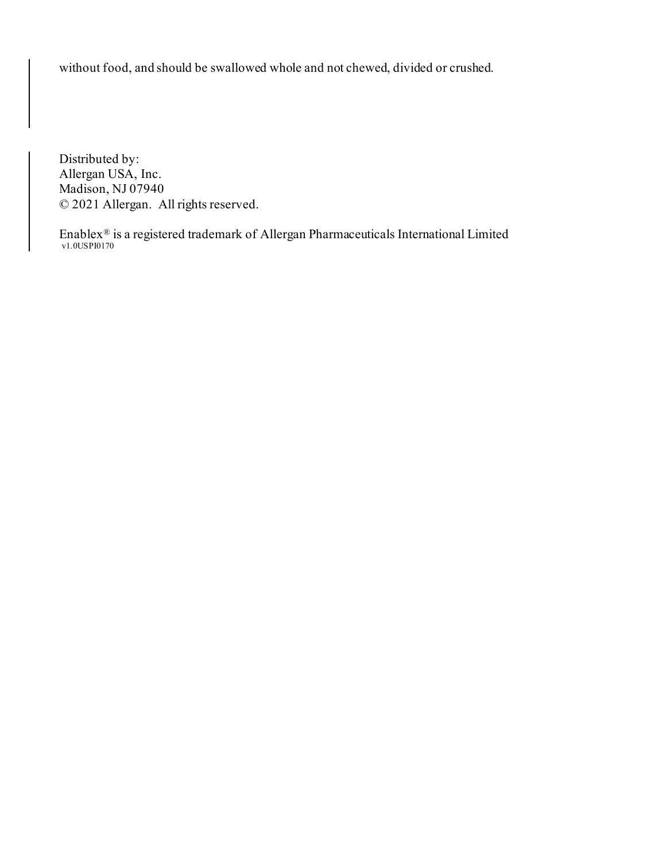without food, and should be swallowed whole and not chewed, divided or crushed.

Distributed by: Allergan USA, Inc. Madison, NJ 07940 © 2021 Allergan. All rights reserved.

<span id="page-19-0"></span> $\text{Enablex}^{\circledR}$  is a registered trademark of Allergan Pharmaceuticals International Limited v1.0USPI0170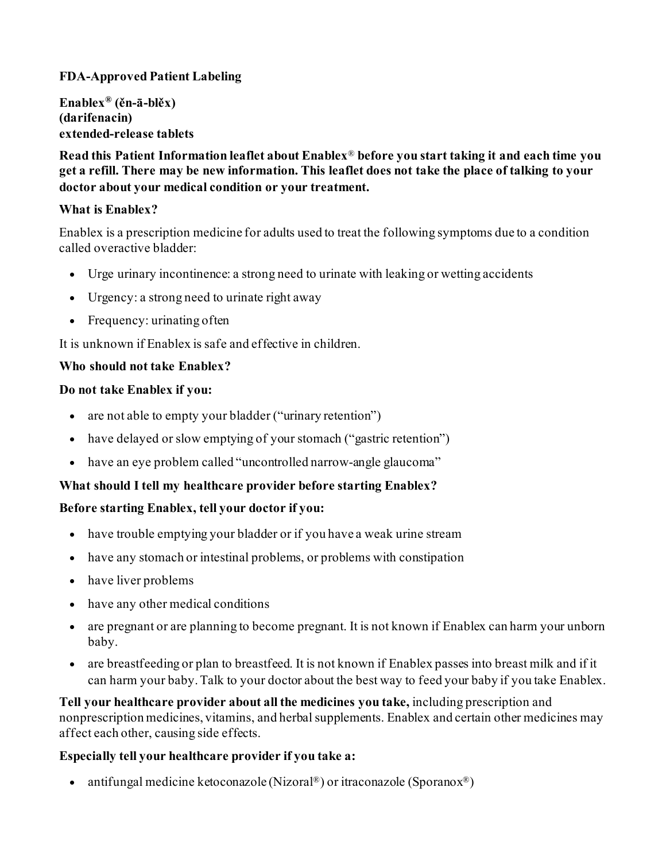# **FDA-Approved Patient Labeling**

**Enablex® (ěn-ā-blěx) (darifenacin) extended-release tablets**

**Read this Patient Information leaflet about Enablex**® **before you start taking it and each time you get a refill. There may be new information. This leaflet does not take the place of talking to your doctor about your medical condition or your treatment.** 

### **What is Enablex?**

Enablex is a prescription medicine for adults used to treat the following symptoms due to a condition called overactive bladder:

- Urge urinary incontinence: a strong need to urinate with leaking or wetting accidents
- Urgency: a strong need to urinate right away
- Frequency: urinating often

It is unknown if Enablex is safe and effective in children.

### **Who should not take Enablex?**

### **Do not take Enablex if you:**

- are not able to empty your bladder ("urinary retention")
- have delayed or slow emptying of your stomach ("gastric retention")
- have an eye problem called "uncontrolled narrow-angle glaucoma"

# **What should I tell my healthcare provider before starting Enablex?**

# **Before starting Enablex, tell your doctor if you:**

- have trouble emptying your bladder or if you have a weak urine stream
- have any stomach or intestinal problems, or problems with constipation
- have liver problems
- have any other medical conditions
- are pregnant or are planning to become pregnant. It is not known if Enablex can harm your unborn baby.
- are breastfeeding or plan to breastfeed. It is not known if Enablex passes into breast milk and if it can harm your baby. Talk to your doctor about the best way to feed your baby if you take Enablex.

**Tell your healthcare provider about all the medicines you take,** including prescription and nonprescription medicines, vitamins, and herbal supplements. Enablex and certain other medicines may affect each other, causing side effects.

# **Especially tell your healthcare provider if you take a:**

• antifungal medicine ketoconazole (Nizoral<sup>®</sup>) or itraconazole (Sporanox<sup>®</sup>)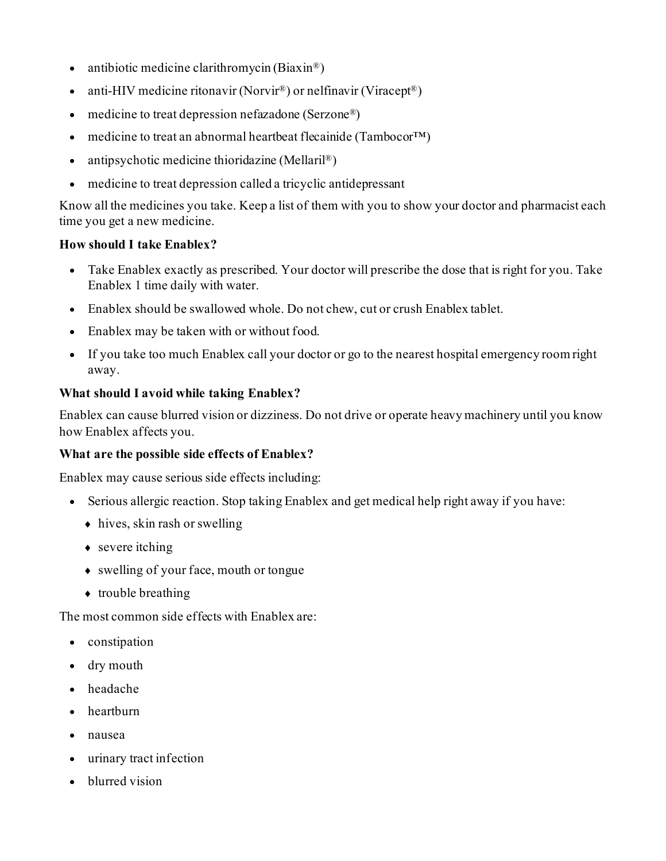- antibiotic medicine clarithromycin (Biaxin<sup>®</sup>)
- anti-HIV medicine ritonavir (Norvir<sup>®</sup>) or nelfinavir (Viracept<sup>®</sup>)
- medicine to treat depression nefazadone (Serzone<sup>®</sup>)
- medicine to treat an abnormal heartbeat flecainide (Tambocor<sup>TM</sup>)
- antipsychotic medicine thioridazine (Mellaril®)
- medicine to treat depression called a tricyclic antidepressant

Know all the medicines you take. Keep a list of them with you to show your doctor and pharmacist each time you get a new medicine.

### **How should I take Enablex?**

- Take Enablex exactly as prescribed. Your doctor will prescribe the dose that is right for you. Take Enablex 1 time daily with water.
- Enablex should be swallowed whole. Do not chew, cut or crush Enablex tablet.
- Enablex may be taken with or without food.
- If you take too much Enablex call your doctor or go to the nearest hospital emergency room right away.

### **What should I avoid while taking Enablex?**

Enablex can cause blurred vision or dizziness. Do not drive or operate heavy machinery until you know how Enablex affects you.

### **What are the possible side effects of Enablex?**

Enablex may cause serious side effects including:

- Serious allergic reaction. Stop taking Enablex and get medical help right away if you have:
	- $\bullet$  hives, skin rash or swelling
	- $\triangleleft$  severe itching
	- ♦ swelling of your face, mouth or tongue
	- $\leftrightarrow$  trouble breathing

The most common side effects with Enablex are:

- constipation
- dry mouth
- headache
- heartburn
- nausea
- urinary tract infection
- blurred vision